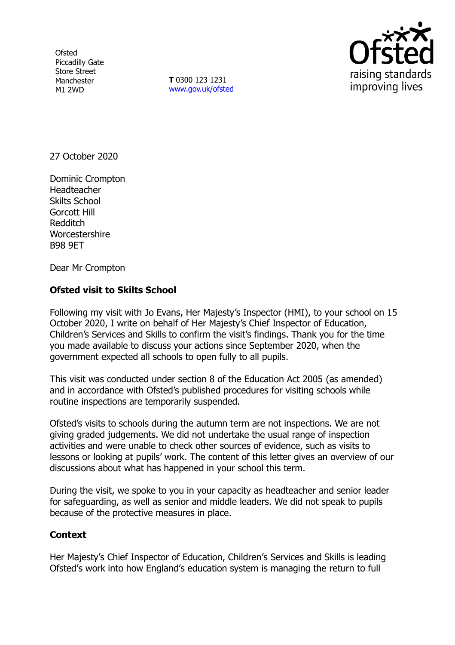**Ofsted** Piccadilly Gate Store Street Manchester M1 2WD

**T** 0300 123 1231 [www.gov.uk/ofsted](http://www.gov.uk/ofsted)



27 October 2020

Dominic Crompton **Headteacher** Skilts School Gorcott Hill Redditch Worcestershire B98 9ET

Dear Mr Crompton

## **Ofsted visit to Skilts School**

Following my visit with Jo Evans, Her Majesty's Inspector (HMI), to your school on 15 October 2020, I write on behalf of Her Majesty's Chief Inspector of Education, Children's Services and Skills to confirm the visit's findings. Thank you for the time you made available to discuss your actions since September 2020, when the government expected all schools to open fully to all pupils.

This visit was conducted under section 8 of the Education Act 2005 (as amended) and in accordance with Ofsted's published procedures for visiting schools while routine inspections are temporarily suspended.

Ofsted's visits to schools during the autumn term are not inspections. We are not giving graded judgements. We did not undertake the usual range of inspection activities and were unable to check other sources of evidence, such as visits to lessons or looking at pupils' work. The content of this letter gives an overview of our discussions about what has happened in your school this term.

During the visit, we spoke to you in your capacity as headteacher and senior leader for safeguarding, as well as senior and middle leaders. We did not speak to pupils because of the protective measures in place.

## **Context**

Her Majesty's Chief Inspector of Education, Children's Services and Skills is leading Ofsted's work into how England's education system is managing the return to full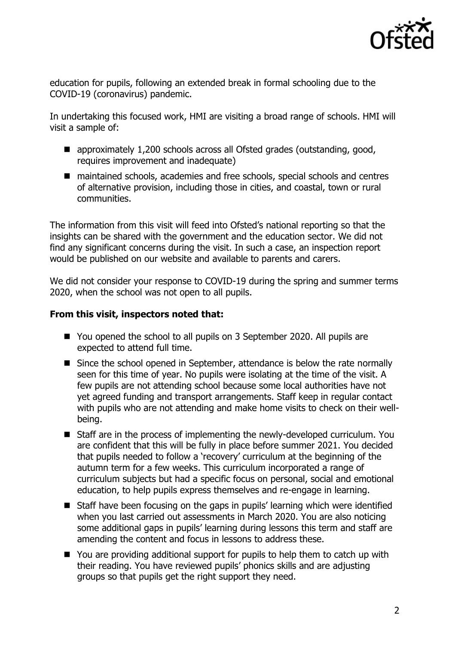

education for pupils, following an extended break in formal schooling due to the COVID-19 (coronavirus) pandemic.

In undertaking this focused work, HMI are visiting a broad range of schools. HMI will visit a sample of:

- approximately 1,200 schools across all Ofsted grades (outstanding, good, requires improvement and inadequate)
- maintained schools, academies and free schools, special schools and centres of alternative provision, including those in cities, and coastal, town or rural communities.

The information from this visit will feed into Ofsted's national reporting so that the insights can be shared with the government and the education sector. We did not find any significant concerns during the visit. In such a case, an inspection report would be published on our website and available to parents and carers.

We did not consider your response to COVID-19 during the spring and summer terms 2020, when the school was not open to all pupils.

## **From this visit, inspectors noted that:**

- You opened the school to all pupils on 3 September 2020. All pupils are expected to attend full time.
- Since the school opened in September, attendance is below the rate normally seen for this time of year. No pupils were isolating at the time of the visit. A few pupils are not attending school because some local authorities have not yet agreed funding and transport arrangements. Staff keep in regular contact with pupils who are not attending and make home visits to check on their wellbeing.
- Staff are in the process of implementing the newly-developed curriculum. You are confident that this will be fully in place before summer 2021. You decided that pupils needed to follow a 'recovery' curriculum at the beginning of the autumn term for a few weeks. This curriculum incorporated a range of curriculum subjects but had a specific focus on personal, social and emotional education, to help pupils express themselves and re-engage in learning.
- Staff have been focusing on the gaps in pupils' learning which were identified when you last carried out assessments in March 2020. You are also noticing some additional gaps in pupils' learning during lessons this term and staff are amending the content and focus in lessons to address these.
- You are providing additional support for pupils to help them to catch up with their reading. You have reviewed pupils' phonics skills and are adjusting groups so that pupils get the right support they need.